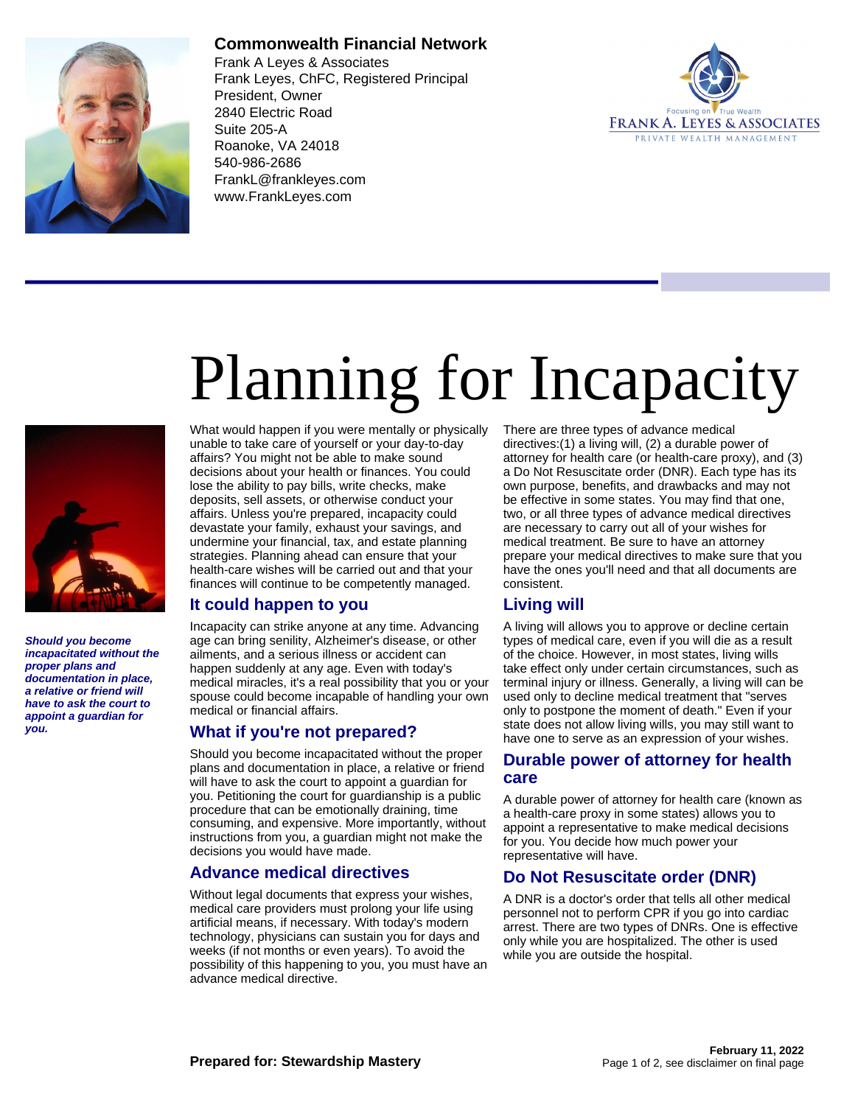

### **Commonwealth Financial Network**

Frank A Leyes & Associates Frank Leyes, ChFC, Registered Principal President, Owner 2840 Electric Road Suite 205-A Roanoke, VA 24018 540-986-2686 FrankL@frankleyes.com www.FrankLeyes.com



# Planning for Incapacity



**Should you become incapacitated without the proper plans and documentation in place, a relative or friend will have to ask the court to appoint a guardian for you.**

What would happen if you were mentally or physically unable to take care of yourself or your day-to-day affairs? You might not be able to make sound decisions about your health or finances. You could lose the ability to pay bills, write checks, make deposits, sell assets, or otherwise conduct your affairs. Unless you're prepared, incapacity could devastate your family, exhaust your savings, and undermine your financial, tax, and estate planning strategies. Planning ahead can ensure that your health-care wishes will be carried out and that your finances will continue to be competently managed.

#### **It could happen to you**

Incapacity can strike anyone at any time. Advancing age can bring senility, Alzheimer's disease, or other ailments, and a serious illness or accident can happen suddenly at any age. Even with today's medical miracles, it's a real possibility that you or your spouse could become incapable of handling your own medical or financial affairs.

#### **What if you're not prepared?**

Should you become incapacitated without the proper plans and documentation in place, a relative or friend will have to ask the court to appoint a guardian for you. Petitioning the court for guardianship is a public procedure that can be emotionally draining, time consuming, and expensive. More importantly, without instructions from you, a guardian might not make the decisions you would have made.

#### **Advance medical directives**

Without legal documents that express your wishes, medical care providers must prolong your life using artificial means, if necessary. With today's modern technology, physicians can sustain you for days and weeks (if not months or even years). To avoid the possibility of this happening to you, you must have an advance medical directive.

There are three types of advance medical directives:(1) a living will, (2) a durable power of attorney for health care (or health-care proxy), and (3) a Do Not Resuscitate order (DNR). Each type has its own purpose, benefits, and drawbacks and may not be effective in some states. You may find that one, two, or all three types of advance medical directives are necessary to carry out all of your wishes for medical treatment. Be sure to have an attorney prepare your medical directives to make sure that you have the ones you'll need and that all documents are consistent.

## **Living will**

A living will allows you to approve or decline certain types of medical care, even if you will die as a result of the choice. However, in most states, living wills take effect only under certain circumstances, such as terminal injury or illness. Generally, a living will can be used only to decline medical treatment that "serves only to postpone the moment of death." Even if your state does not allow living wills, you may still want to have one to serve as an expression of your wishes.

#### **Durable power of attorney for health care**

A durable power of attorney for health care (known as a health-care proxy in some states) allows you to appoint a representative to make medical decisions for you. You decide how much power your representative will have.

#### **Do Not Resuscitate order (DNR)**

A DNR is a doctor's order that tells all other medical personnel not to perform CPR if you go into cardiac arrest. There are two types of DNRs. One is effective only while you are hospitalized. The other is used while you are outside the hospital.